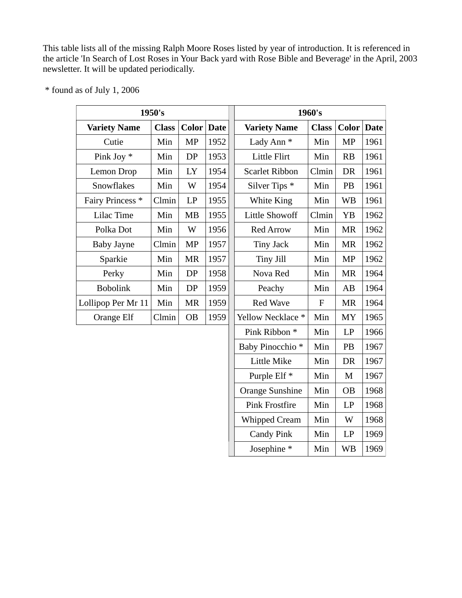This table lists all of the missing Ralph Moore Roses listed by year of introduction. It is referenced in the article 'In Search of Lost Roses in Your Back yard with Rose Bible and Beverage' in the April, 2003 newsletter. It will be updated periodically.

|                             | 1950's       |                   | 1960's |                       |              |                   |      |
|-----------------------------|--------------|-------------------|--------|-----------------------|--------------|-------------------|------|
| <b>Variety Name</b>         | <b>Class</b> | <b>Color</b> Date |        | <b>Variety Name</b>   | <b>Class</b> | <b>Color</b> Date |      |
| Cutie                       | Min          | <b>MP</b>         | 1952   | Lady Ann <sup>*</sup> | Min          | <b>MP</b>         | 1961 |
| Pink Joy *                  | Min          | DP                | 1953   | Little Flirt          | Min          | <b>RB</b>         | 1961 |
| Lemon Drop                  | Min          | LY                | 1954   | <b>Scarlet Ribbon</b> | Clmin        | DR                | 1961 |
| Snowflakes                  | Min          | W                 | 1954   | Silver Tips *         | Min          | <b>PB</b>         | 1961 |
| Fairy Princess <sup>*</sup> | Clmin        | LP                | 1955   | White King            | Min          | <b>WB</b>         | 1961 |
| Lilac Time                  | Min          | <b>MB</b>         | 1955   | Little Showoff        | Clmin        | YB                | 1962 |
| Polka Dot                   | Min          | W                 | 1956   | <b>Red Arrow</b>      | Min          | <b>MR</b>         | 1962 |
| Baby Jayne                  | Clmin        | <b>MP</b>         | 1957   | <b>Tiny Jack</b>      | Min          | <b>MR</b>         | 1962 |
| Sparkie                     | Min          | <b>MR</b>         | 1957   | Tiny Jill             | Min          | <b>MP</b>         | 1962 |
| Perky                       | Min          | DP                | 1958   | Nova Red              | Min          | <b>MR</b>         | 1964 |
| <b>Bobolink</b>             | Min          | DP                | 1959   | Peachy                | Min          | AB                | 1964 |
| Lollipop Per Mr 11          | Min          | <b>MR</b>         | 1959   | <b>Red Wave</b>       | $\mathbf{F}$ | MR                | 1964 |
| Orange Elf                  | Clmin        | <b>OB</b>         | 1959   | Yellow Necklace *     | Min          | MY                | 1965 |

\* found as of July 1, 2006

| 1950's                  |              |              |             | 1960's                      |              |              |             |  |
|-------------------------|--------------|--------------|-------------|-----------------------------|--------------|--------------|-------------|--|
| <b>iety Name</b>        | <b>Class</b> | <b>Color</b> | <b>Date</b> | <b>Variety Name</b>         | <b>Class</b> | <b>Color</b> | <b>Date</b> |  |
| Cutie                   | Min          | <b>MP</b>    | 1952        | Lady Ann <sup>*</sup>       | Min          | <b>MP</b>    | 1961        |  |
| $ink$ Joy $*$           | Min          | DP           | 1953        | Little Flirt                | Min          | RB           | 1961        |  |
| mon Drop                | Min          | LY           | 1954        | <b>Scarlet Ribbon</b>       | Clmin        | <b>DR</b>    | 1961        |  |
| nowflakes               | Min          | W            | 1954        | Silver Tips *               | Min          | PB           | 1961        |  |
| y Princess <sup>*</sup> | Clmin        | LP           | 1955        | White King                  | Min          | <b>WB</b>    | 1961        |  |
| ilac Time               | Min          | <b>MB</b>    | 1955        | <b>Little Showoff</b>       | Clmin        | <b>YB</b>    | 1962        |  |
| olka Dot                | Min          | W            | 1956        | <b>Red Arrow</b>            | Min          | <b>MR</b>    | 1962        |  |
| aby Jayne               | Clmin        | <b>MP</b>    | 1957        | <b>Tiny Jack</b>            | Min          | <b>MR</b>    | 1962        |  |
| Sparkie                 | Min          | <b>MR</b>    | 1957        | Tiny Jill                   | Min          | <b>MP</b>    | 1962        |  |
| Perky                   | Min          | DP           | 1958        | Nova Red                    | Min          | <b>MR</b>    | 1964        |  |
| <b>Bobolink</b>         | Min          | DP           | 1959        | Peachy                      | Min          | AB           | 1964        |  |
| op Per Mr 11            | Min          | <b>MR</b>    | 1959        | Red Wave                    | ${\bf F}$    | <b>MR</b>    | 1964        |  |
| range Elf               | Clmin        | <b>OB</b>    | 1959        | Yellow Necklace *           | Min          | <b>MY</b>    | 1965        |  |
|                         |              |              |             | Pink Ribbon <sup>*</sup>    | Min          | LP           | 1966        |  |
|                         |              |              |             | Baby Pinocchio <sup>*</sup> | Min          | PB           | 1967        |  |
|                         |              |              |             | Little Mike                 | Min          | DR           | 1967        |  |
|                         |              |              |             | Purple Elf <sup>*</sup>     | Min          | M            | 1967        |  |
|                         |              |              |             | Orange Sunshine             | Min          | <b>OB</b>    | 1968        |  |
|                         |              |              |             | <b>Pink Frostfire</b>       | Min          | LP           | 1968        |  |
|                         |              |              |             | <b>Whipped Cream</b>        | Min          | W            | 1968        |  |
|                         |              |              |             | <b>Candy Pink</b>           | Min          | LP           | 1969        |  |
|                         |              |              |             | Josephine <sup>*</sup>      | Min          | <b>WB</b>    | 1969        |  |